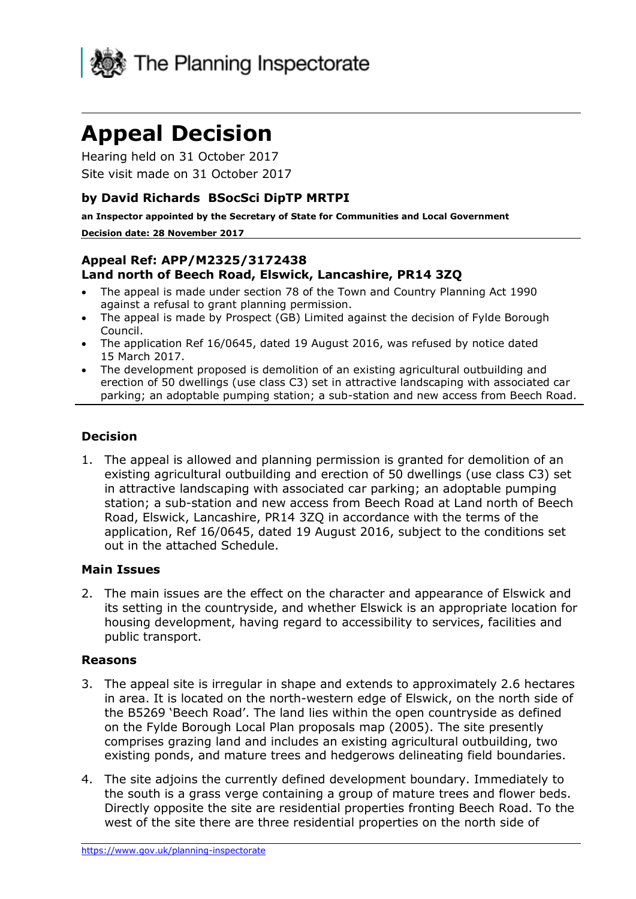

# **Appeal Decision**

Hearing held on 31 October 2017 Site visit made on 31 October 2017

## **by David Richards BSocSci DipTP MRTPI**

**an Inspector appointed by the Secretary of State for Communities and Local Government**

#### **Decision date: 28 November 2017**

## **Appeal Ref: APP/M2325/3172438 Land north of Beech Road, Elswick, Lancashire, PR14 3ZQ**

- The appeal is made under section 78 of the Town and Country Planning Act 1990 against a refusal to grant planning permission.
- The appeal is made by Prospect (GB) Limited against the decision of Fylde Borough Council.
- The application Ref 16/0645, dated 19 August 2016, was refused by notice dated 15 March 2017.
- The development proposed is demolition of an existing agricultural outbuilding and erection of 50 dwellings (use class C3) set in attractive landscaping with associated car parking; an adoptable pumping station; a sub-station and new access from Beech Road.

#### **Decision**

1. The appeal is allowed and planning permission is granted for demolition of an existing agricultural outbuilding and erection of 50 dwellings (use class C3) set in attractive landscaping with associated car parking; an adoptable pumping station; a sub-station and new access from Beech Road at Land north of Beech Road, Elswick, Lancashire, PR14 3ZQ in accordance with the terms of the application, Ref 16/0645, dated 19 August 2016, subject to the conditions set out in the attached Schedule.

#### **Main Issues**

2. The main issues are the effect on the character and appearance of Elswick and its setting in the countryside, and whether Elswick is an appropriate location for housing development, having regard to accessibility to services, facilities and public transport.

#### **Reasons**

- 3. The appeal site is irregular in shape and extends to approximately 2.6 hectares in area. It is located on the north-western edge of Elswick, on the north side of the B5269 'Beech Road'. The land lies within the open countryside as defined on the Fylde Borough Local Plan proposals map (2005). The site presently comprises grazing land and includes an existing agricultural outbuilding, two existing ponds, and mature trees and hedgerows delineating field boundaries.
- 4. The site adjoins the currently defined development boundary. Immediately to the south is a grass verge containing a group of mature trees and flower beds. Directly opposite the site are residential properties fronting Beech Road. To the west of the site there are three residential properties on the north side of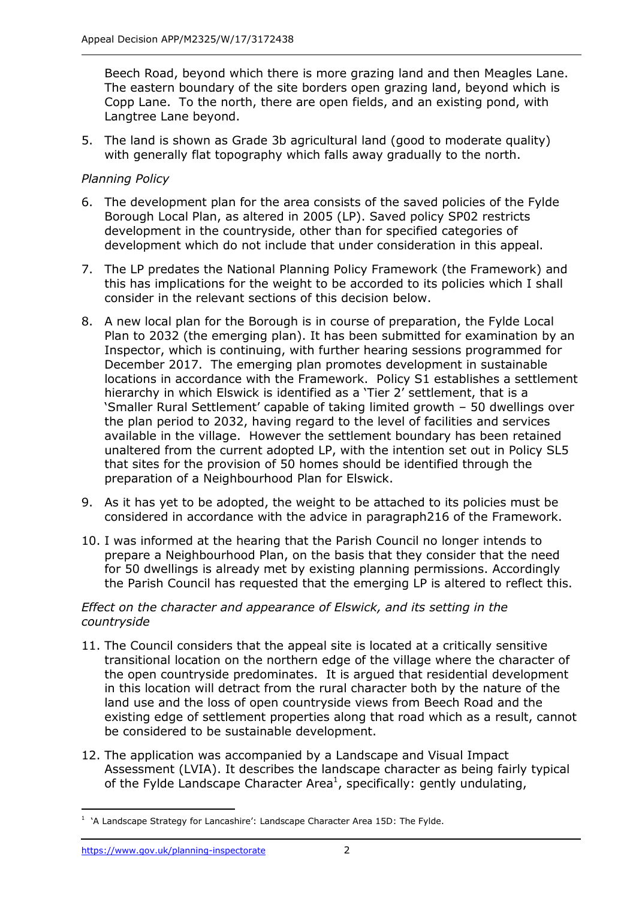Beech Road, beyond which there is more grazing land and then Meagles Lane. The eastern boundary of the site borders open grazing land, beyond which is Copp Lane. To the north, there are open fields, and an existing pond, with Langtree Lane beyond.

5. The land is shown as Grade 3b agricultural land (good to moderate quality) with generally flat topography which falls away gradually to the north.

## *Planning Policy*

- 6. The development plan for the area consists of the saved policies of the Fylde Borough Local Plan, as altered in 2005 (LP). Saved policy SP02 restricts development in the countryside, other than for specified categories of development which do not include that under consideration in this appeal.
- 7. The LP predates the National Planning Policy Framework (the Framework) and this has implications for the weight to be accorded to its policies which I shall consider in the relevant sections of this decision below.
- 8. A new local plan for the Borough is in course of preparation, the Fylde Local Plan to 2032 (the emerging plan). It has been submitted for examination by an Inspector, which is continuing, with further hearing sessions programmed for December 2017. The emerging plan promotes development in sustainable locations in accordance with the Framework. Policy S1 establishes a settlement hierarchy in which Elswick is identified as a 'Tier 2' settlement, that is a 'Smaller Rural Settlement' capable of taking limited growth – 50 dwellings over the plan period to 2032, having regard to the level of facilities and services available in the village. However the settlement boundary has been retained unaltered from the current adopted LP, with the intention set out in Policy SL5 that sites for the provision of 50 homes should be identified through the preparation of a Neighbourhood Plan for Elswick.
- 9. As it has yet to be adopted, the weight to be attached to its policies must be considered in accordance with the advice in paragraph216 of the Framework.
- 10. I was informed at the hearing that the Parish Council no longer intends to prepare a Neighbourhood Plan, on the basis that they consider that the need for 50 dwellings is already met by existing planning permissions. Accordingly the Parish Council has requested that the emerging LP is altered to reflect this.

#### *Effect on the character and appearance of Elswick, and its setting in the countryside*

- 11. The Council considers that the appeal site is located at a critically sensitive transitional location on the northern edge of the village where the character of the open countryside predominates. It is argued that residential development in this location will detract from the rural character both by the nature of the land use and the loss of open countryside views from Beech Road and the existing edge of settlement properties along that road which as a result, cannot be considered to be sustainable development.
- 12. The application was accompanied by a Landscape and Visual Impact Assessment (LVIA). It describes the landscape character as being fairly typical of the Fylde Landscape Character Area<sup>1</sup>, specifically: gently undulating,

-

 $1$  'A Landscape Strategy for Lancashire': Landscape Character Area 15D: The Fylde.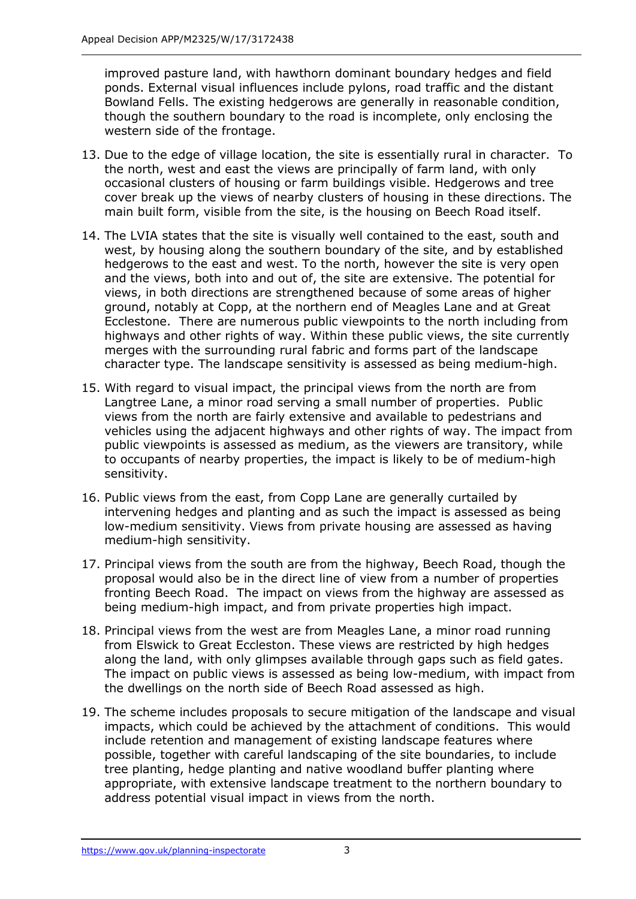improved pasture land, with hawthorn dominant boundary hedges and field ponds. External visual influences include pylons, road traffic and the distant Bowland Fells. The existing hedgerows are generally in reasonable condition, though the southern boundary to the road is incomplete, only enclosing the western side of the frontage.

- 13. Due to the edge of village location, the site is essentially rural in character. To the north, west and east the views are principally of farm land, with only occasional clusters of housing or farm buildings visible. Hedgerows and tree cover break up the views of nearby clusters of housing in these directions. The main built form, visible from the site, is the housing on Beech Road itself.
- 14. The LVIA states that the site is visually well contained to the east, south and west, by housing along the southern boundary of the site, and by established hedgerows to the east and west. To the north, however the site is very open and the views, both into and out of, the site are extensive. The potential for views, in both directions are strengthened because of some areas of higher ground, notably at Copp, at the northern end of Meagles Lane and at Great Ecclestone. There are numerous public viewpoints to the north including from highways and other rights of way. Within these public views, the site currently merges with the surrounding rural fabric and forms part of the landscape character type. The landscape sensitivity is assessed as being medium-high.
- 15. With regard to visual impact, the principal views from the north are from Langtree Lane, a minor road serving a small number of properties. Public views from the north are fairly extensive and available to pedestrians and vehicles using the adjacent highways and other rights of way. The impact from public viewpoints is assessed as medium, as the viewers are transitory, while to occupants of nearby properties, the impact is likely to be of medium-high sensitivity.
- 16. Public views from the east, from Copp Lane are generally curtailed by intervening hedges and planting and as such the impact is assessed as being low-medium sensitivity. Views from private housing are assessed as having medium-high sensitivity.
- 17. Principal views from the south are from the highway, Beech Road, though the proposal would also be in the direct line of view from a number of properties fronting Beech Road. The impact on views from the highway are assessed as being medium-high impact, and from private properties high impact.
- 18. Principal views from the west are from Meagles Lane, a minor road running from Elswick to Great Eccleston. These views are restricted by high hedges along the land, with only glimpses available through gaps such as field gates. The impact on public views is assessed as being low-medium, with impact from the dwellings on the north side of Beech Road assessed as high.
- 19. The scheme includes proposals to secure mitigation of the landscape and visual impacts, which could be achieved by the attachment of conditions. This would include retention and management of existing landscape features where possible, together with careful landscaping of the site boundaries, to include tree planting, hedge planting and native woodland buffer planting where appropriate, with extensive landscape treatment to the northern boundary to address potential visual impact in views from the north.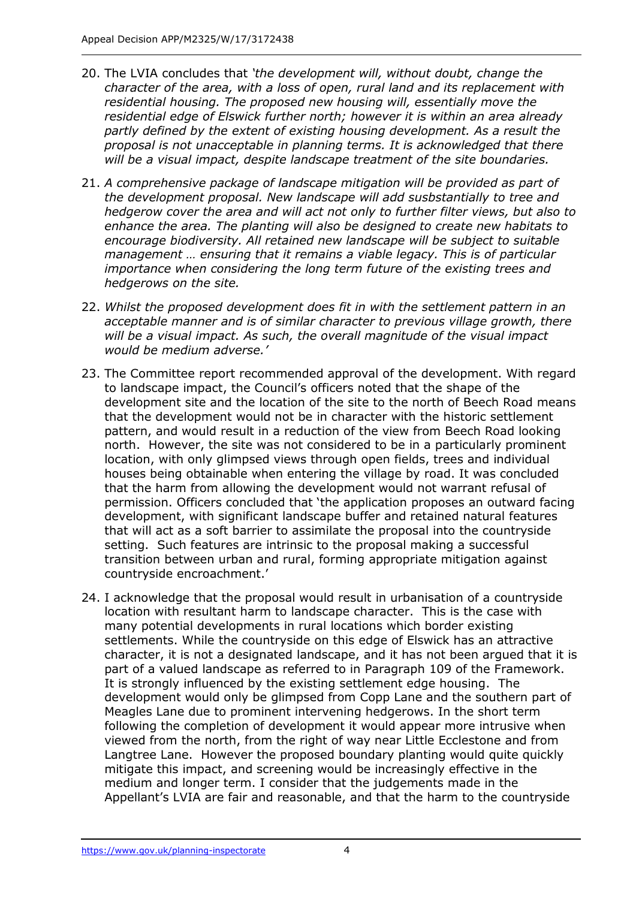- 20. The LVIA concludes that *'the development will, without doubt, change the character of the area, with a loss of open, rural land and its replacement with residential housing. The proposed new housing will, essentially move the residential edge of Elswick further north; however it is within an area already partly defined by the extent of existing housing development. As a result the proposal is not unacceptable in planning terms. It is acknowledged that there will be a visual impact, despite landscape treatment of the site boundaries.*
- 21. *A comprehensive package of landscape mitigation will be provided as part of the development proposal. New landscape will add susbstantially to tree and hedgerow cover the area and will act not only to further filter views, but also to enhance the area. The planting will also be designed to create new habitats to encourage biodiversity. All retained new landscape will be subject to suitable management … ensuring that it remains a viable legacy. This is of particular importance when considering the long term future of the existing trees and hedgerows on the site.*
- 22. *Whilst the proposed development does fit in with the settlement pattern in an*  acceptable manner and is of similar character to previous village growth, there *will be a visual impact. As such, the overall magnitude of the visual impact would be medium adverse.'*
- 23. The Committee report recommended approval of the development. With regard to landscape impact, the Council's officers noted that the shape of the development site and the location of the site to the north of Beech Road means that the development would not be in character with the historic settlement pattern, and would result in a reduction of the view from Beech Road looking north. However, the site was not considered to be in a particularly prominent location, with only glimpsed views through open fields, trees and individual houses being obtainable when entering the village by road. It was concluded that the harm from allowing the development would not warrant refusal of permission. Officers concluded that 'the application proposes an outward facing development, with significant landscape buffer and retained natural features that will act as a soft barrier to assimilate the proposal into the countryside setting. Such features are intrinsic to the proposal making a successful transition between urban and rural, forming appropriate mitigation against countryside encroachment.'
- 24. I acknowledge that the proposal would result in urbanisation of a countryside location with resultant harm to landscape character. This is the case with many potential developments in rural locations which border existing settlements. While the countryside on this edge of Elswick has an attractive character, it is not a designated landscape, and it has not been argued that it is part of a valued landscape as referred to in Paragraph 109 of the Framework. It is strongly influenced by the existing settlement edge housing. The development would only be glimpsed from Copp Lane and the southern part of Meagles Lane due to prominent intervening hedgerows. In the short term following the completion of development it would appear more intrusive when viewed from the north, from the right of way near Little Ecclestone and from Langtree Lane. However the proposed boundary planting would quite quickly mitigate this impact, and screening would be increasingly effective in the medium and longer term. I consider that the judgements made in the Appellant's LVIA are fair and reasonable, and that the harm to the countryside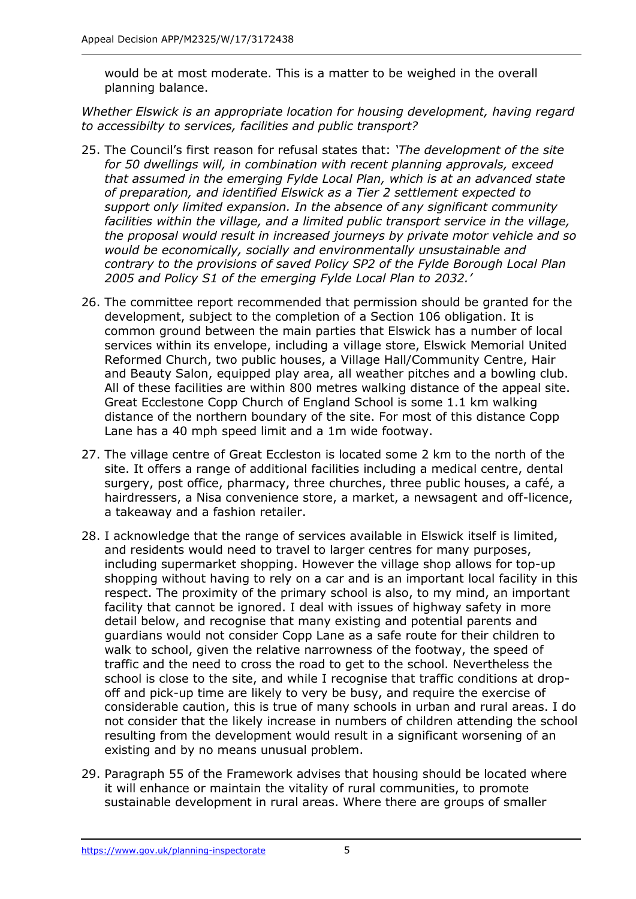would be at most moderate. This is a matter to be weighed in the overall planning balance.

*Whether Elswick is an appropriate location for housing development, having regard to accessibilty to services, facilities and public transport?*

- 25. The Council's first reason for refusal states that: *'The development of the site for 50 dwellings will, in combination with recent planning approvals, exceed that assumed in the emerging Fylde Local Plan, which is at an advanced state of preparation, and identified Elswick as a Tier 2 settlement expected to support only limited expansion. In the absence of any significant community facilities within the village, and a limited public transport service in the village, the proposal would result in increased journeys by private motor vehicle and so would be economically, socially and environmentally unsustainable and contrary to the provisions of saved Policy SP2 of the Fylde Borough Local Plan 2005 and Policy S1 of the emerging Fylde Local Plan to 2032.'*
- 26. The committee report recommended that permission should be granted for the development, subject to the completion of a Section 106 obligation. It is common ground between the main parties that Elswick has a number of local services within its envelope, including a village store, Elswick Memorial United Reformed Church, two public houses, a Village Hall/Community Centre, Hair and Beauty Salon, equipped play area, all weather pitches and a bowling club. All of these facilities are within 800 metres walking distance of the appeal site. Great Ecclestone Copp Church of England School is some 1.1 km walking distance of the northern boundary of the site. For most of this distance Copp Lane has a 40 mph speed limit and a 1m wide footway.
- 27. The village centre of Great Eccleston is located some 2 km to the north of the site. It offers a range of additional facilities including a medical centre, dental surgery, post office, pharmacy, three churches, three public houses, a café, a hairdressers, a Nisa convenience store, a market, a newsagent and off-licence, a takeaway and a fashion retailer.
- 28. I acknowledge that the range of services available in Elswick itself is limited, and residents would need to travel to larger centres for many purposes, including supermarket shopping. However the village shop allows for top-up shopping without having to rely on a car and is an important local facility in this respect. The proximity of the primary school is also, to my mind, an important facility that cannot be ignored. I deal with issues of highway safety in more detail below, and recognise that many existing and potential parents and guardians would not consider Copp Lane as a safe route for their children to walk to school, given the relative narrowness of the footway, the speed of traffic and the need to cross the road to get to the school. Nevertheless the school is close to the site, and while I recognise that traffic conditions at dropoff and pick-up time are likely to very be busy, and require the exercise of considerable caution, this is true of many schools in urban and rural areas. I do not consider that the likely increase in numbers of children attending the school resulting from the development would result in a significant worsening of an existing and by no means unusual problem.
- 29. Paragraph 55 of the Framework advises that housing should be located where it will enhance or maintain the vitality of rural communities, to promote sustainable development in rural areas. Where there are groups of smaller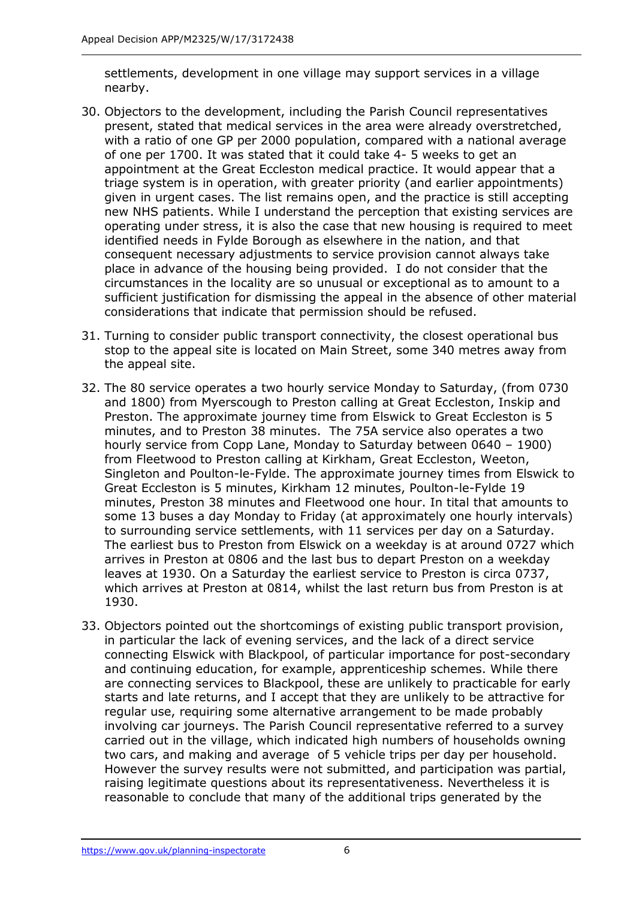settlements, development in one village may support services in a village nearby.

- 30. Objectors to the development, including the Parish Council representatives present, stated that medical services in the area were already overstretched, with a ratio of one GP per 2000 population, compared with a national average of one per 1700. It was stated that it could take 4- 5 weeks to get an appointment at the Great Eccleston medical practice. It would appear that a triage system is in operation, with greater priority (and earlier appointments) given in urgent cases. The list remains open, and the practice is still accepting new NHS patients. While I understand the perception that existing services are operating under stress, it is also the case that new housing is required to meet identified needs in Fylde Borough as elsewhere in the nation, and that consequent necessary adjustments to service provision cannot always take place in advance of the housing being provided. I do not consider that the circumstances in the locality are so unusual or exceptional as to amount to a sufficient justification for dismissing the appeal in the absence of other material considerations that indicate that permission should be refused.
- 31. Turning to consider public transport connectivity, the closest operational bus stop to the appeal site is located on Main Street, some 340 metres away from the appeal site.
- 32. The 80 service operates a two hourly service Monday to Saturday, (from 0730 and 1800) from Myerscough to Preston calling at Great Eccleston, Inskip and Preston. The approximate journey time from Elswick to Great Eccleston is 5 minutes, and to Preston 38 minutes. The 75A service also operates a two hourly service from Copp Lane, Monday to Saturday between 0640 – 1900) from Fleetwood to Preston calling at Kirkham, Great Eccleston, Weeton, Singleton and Poulton-le-Fylde. The approximate journey times from Elswick to Great Eccleston is 5 minutes, Kirkham 12 minutes, Poulton-le-Fylde 19 minutes, Preston 38 minutes and Fleetwood one hour. In tital that amounts to some 13 buses a day Monday to Friday (at approximately one hourly intervals) to surrounding service settlements, with 11 services per day on a Saturday. The earliest bus to Preston from Elswick on a weekday is at around 0727 which arrives in Preston at 0806 and the last bus to depart Preston on a weekday leaves at 1930. On a Saturday the earliest service to Preston is circa 0737, which arrives at Preston at 0814, whilst the last return bus from Preston is at 1930.
- 33. Objectors pointed out the shortcomings of existing public transport provision, in particular the lack of evening services, and the lack of a direct service connecting Elswick with Blackpool, of particular importance for post-secondary and continuing education, for example, apprenticeship schemes. While there are connecting services to Blackpool, these are unlikely to practicable for early starts and late returns, and I accept that they are unlikely to be attractive for regular use, requiring some alternative arrangement to be made probably involving car journeys. The Parish Council representative referred to a survey carried out in the village, which indicated high numbers of households owning two cars, and making and average of 5 vehicle trips per day per household. However the survey results were not submitted, and participation was partial, raising legitimate questions about its representativeness. Nevertheless it is reasonable to conclude that many of the additional trips generated by the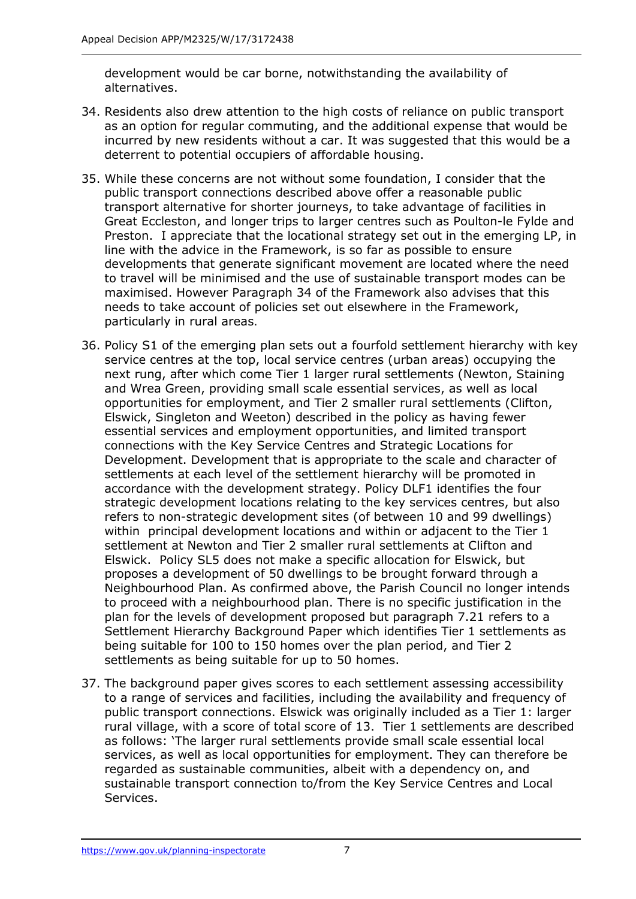development would be car borne, notwithstanding the availability of alternatives.

- 34. Residents also drew attention to the high costs of reliance on public transport as an option for regular commuting, and the additional expense that would be incurred by new residents without a car. It was suggested that this would be a deterrent to potential occupiers of affordable housing.
- 35. While these concerns are not without some foundation, I consider that the public transport connections described above offer a reasonable public transport alternative for shorter journeys, to take advantage of facilities in Great Eccleston, and longer trips to larger centres such as Poulton-le Fylde and Preston. I appreciate that the locational strategy set out in the emerging LP, in line with the advice in the Framework, is so far as possible to ensure developments that generate significant movement are located where the need to travel will be minimised and the use of sustainable transport modes can be maximised. However Paragraph 34 of the Framework also advises that this needs to take account of policies set out elsewhere in the Framework, particularly in rural areas.
- 36. Policy S1 of the emerging plan sets out a fourfold settlement hierarchy with key service centres at the top, local service centres (urban areas) occupying the next rung, after which come Tier 1 larger rural settlements (Newton, Staining and Wrea Green, providing small scale essential services, as well as local opportunities for employment, and Tier 2 smaller rural settlements (Clifton, Elswick, Singleton and Weeton) described in the policy as having fewer essential services and employment opportunities, and limited transport connections with the Key Service Centres and Strategic Locations for Development. Development that is appropriate to the scale and character of settlements at each level of the settlement hierarchy will be promoted in accordance with the development strategy. Policy DLF1 identifies the four strategic development locations relating to the key services centres, but also refers to non-strategic development sites (of between 10 and 99 dwellings) within principal development locations and within or adjacent to the Tier 1 settlement at Newton and Tier 2 smaller rural settlements at Clifton and Elswick. Policy SL5 does not make a specific allocation for Elswick, but proposes a development of 50 dwellings to be brought forward through a Neighbourhood Plan. As confirmed above, the Parish Council no longer intends to proceed with a neighbourhood plan. There is no specific justification in the plan for the levels of development proposed but paragraph 7.21 refers to a Settlement Hierarchy Background Paper which identifies Tier 1 settlements as being suitable for 100 to 150 homes over the plan period, and Tier 2 settlements as being suitable for up to 50 homes.
- 37. The background paper gives scores to each settlement assessing accessibility to a range of services and facilities, including the availability and frequency of public transport connections. Elswick was originally included as a Tier 1: larger rural village, with a score of total score of 13. Tier 1 settlements are described as follows: 'The larger rural settlements provide small scale essential local services, as well as local opportunities for employment. They can therefore be regarded as sustainable communities, albeit with a dependency on, and sustainable transport connection to/from the Key Service Centres and Local Services.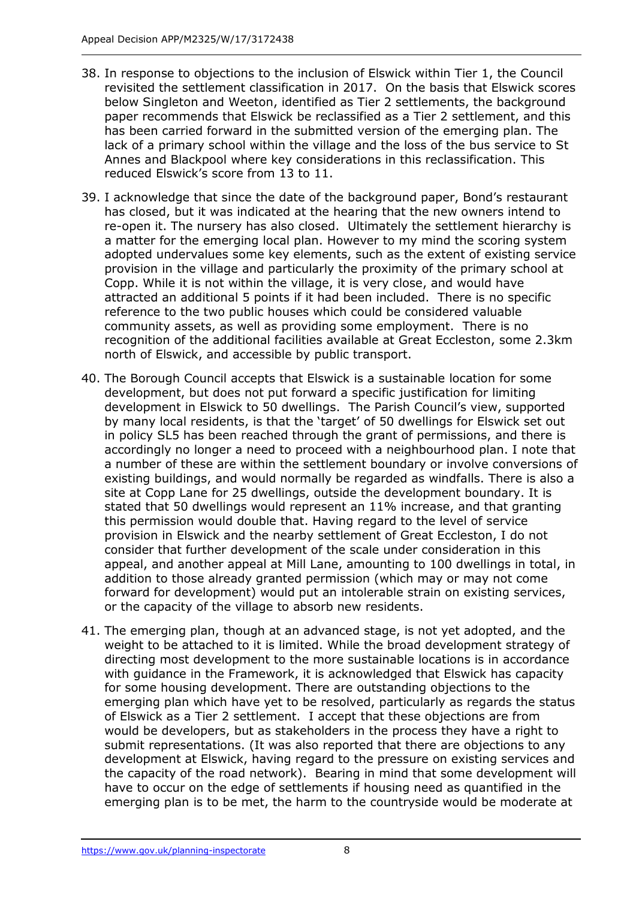- 38. In response to objections to the inclusion of Elswick within Tier 1, the Council revisited the settlement classification in 2017. On the basis that Elswick scores below Singleton and Weeton, identified as Tier 2 settlements, the background paper recommends that Elswick be reclassified as a Tier 2 settlement, and this has been carried forward in the submitted version of the emerging plan. The lack of a primary school within the village and the loss of the bus service to St Annes and Blackpool where key considerations in this reclassification. This reduced Elswick's score from 13 to 11.
- 39. I acknowledge that since the date of the background paper, Bond's restaurant has closed, but it was indicated at the hearing that the new owners intend to re-open it. The nursery has also closed. Ultimately the settlement hierarchy is a matter for the emerging local plan. However to my mind the scoring system adopted undervalues some key elements, such as the extent of existing service provision in the village and particularly the proximity of the primary school at Copp. While it is not within the village, it is very close, and would have attracted an additional 5 points if it had been included. There is no specific reference to the two public houses which could be considered valuable community assets, as well as providing some employment. There is no recognition of the additional facilities available at Great Eccleston, some 2.3km north of Elswick, and accessible by public transport.
- 40. The Borough Council accepts that Elswick is a sustainable location for some development, but does not put forward a specific justification for limiting development in Elswick to 50 dwellings. The Parish Council's view, supported by many local residents, is that the 'target' of 50 dwellings for Elswick set out in policy SL5 has been reached through the grant of permissions, and there is accordingly no longer a need to proceed with a neighbourhood plan. I note that a number of these are within the settlement boundary or involve conversions of existing buildings, and would normally be regarded as windfalls. There is also a site at Copp Lane for 25 dwellings, outside the development boundary. It is stated that 50 dwellings would represent an 11% increase, and that granting this permission would double that. Having regard to the level of service provision in Elswick and the nearby settlement of Great Eccleston, I do not consider that further development of the scale under consideration in this appeal, and another appeal at Mill Lane, amounting to 100 dwellings in total, in addition to those already granted permission (which may or may not come forward for development) would put an intolerable strain on existing services, or the capacity of the village to absorb new residents.
- 41. The emerging plan, though at an advanced stage, is not yet adopted, and the weight to be attached to it is limited. While the broad development strategy of directing most development to the more sustainable locations is in accordance with guidance in the Framework, it is acknowledged that Elswick has capacity for some housing development. There are outstanding objections to the emerging plan which have yet to be resolved, particularly as regards the status of Elswick as a Tier 2 settlement. I accept that these objections are from would be developers, but as stakeholders in the process they have a right to submit representations. (It was also reported that there are objections to any development at Elswick, having regard to the pressure on existing services and the capacity of the road network). Bearing in mind that some development will have to occur on the edge of settlements if housing need as quantified in the emerging plan is to be met, the harm to the countryside would be moderate at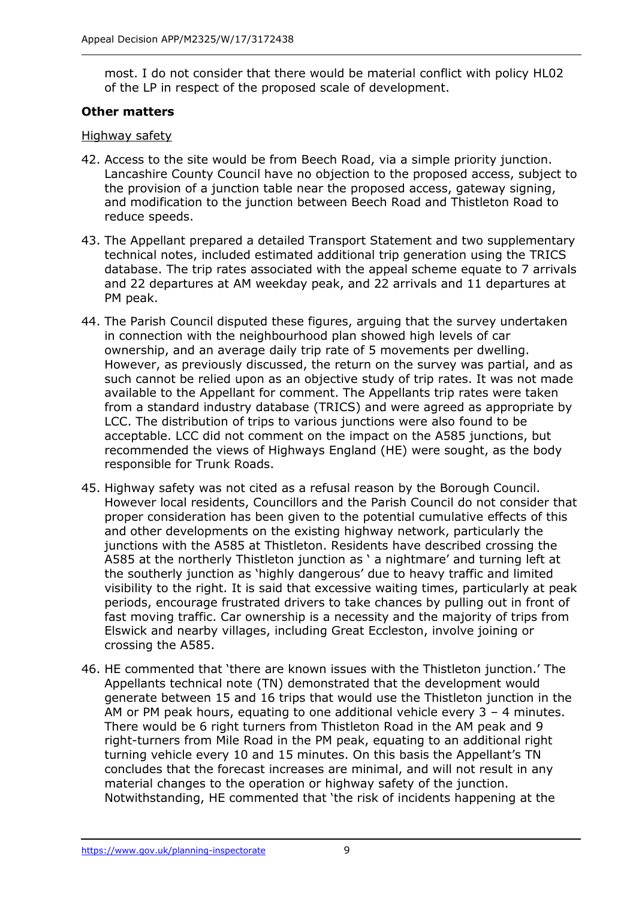most. I do not consider that there would be material conflict with policy HL02 of the LP in respect of the proposed scale of development.

## **Other matters**

## Highway safety

- 42. Access to the site would be from Beech Road, via a simple priority junction. Lancashire County Council have no objection to the proposed access, subject to the provision of a junction table near the proposed access, gateway signing, and modification to the junction between Beech Road and Thistleton Road to reduce speeds.
- 43. The Appellant prepared a detailed Transport Statement and two supplementary technical notes, included estimated additional trip generation using the TRICS database. The trip rates associated with the appeal scheme equate to 7 arrivals and 22 departures at AM weekday peak, and 22 arrivals and 11 departures at PM peak.
- 44. The Parish Council disputed these figures, arguing that the survey undertaken in connection with the neighbourhood plan showed high levels of car ownership, and an average daily trip rate of 5 movements per dwelling. However, as previously discussed, the return on the survey was partial, and as such cannot be relied upon as an objective study of trip rates. It was not made available to the Appellant for comment. The Appellants trip rates were taken from a standard industry database (TRICS) and were agreed as appropriate by LCC. The distribution of trips to various junctions were also found to be acceptable. LCC did not comment on the impact on the A585 junctions, but recommended the views of Highways England (HE) were sought, as the body responsible for Trunk Roads.
- 45. Highway safety was not cited as a refusal reason by the Borough Council. However local residents, Councillors and the Parish Council do not consider that proper consideration has been given to the potential cumulative effects of this and other developments on the existing highway network, particularly the junctions with the A585 at Thistleton. Residents have described crossing the A585 at the northerly Thistleton junction as ' a nightmare' and turning left at the southerly junction as 'highly dangerous' due to heavy traffic and limited visibility to the right. It is said that excessive waiting times, particularly at peak periods, encourage frustrated drivers to take chances by pulling out in front of fast moving traffic. Car ownership is a necessity and the majority of trips from Elswick and nearby villages, including Great Eccleston, involve joining or crossing the A585.
- 46. HE commented that 'there are known issues with the Thistleton junction.' The Appellants technical note (TN) demonstrated that the development would generate between 15 and 16 trips that would use the Thistleton junction in the AM or PM peak hours, equating to one additional vehicle every  $3 - 4$  minutes. There would be 6 right turners from Thistleton Road in the AM peak and 9 right-turners from Mile Road in the PM peak, equating to an additional right turning vehicle every 10 and 15 minutes. On this basis the Appellant's TN concludes that the forecast increases are minimal, and will not result in any material changes to the operation or highway safety of the junction. Notwithstanding, HE commented that 'the risk of incidents happening at the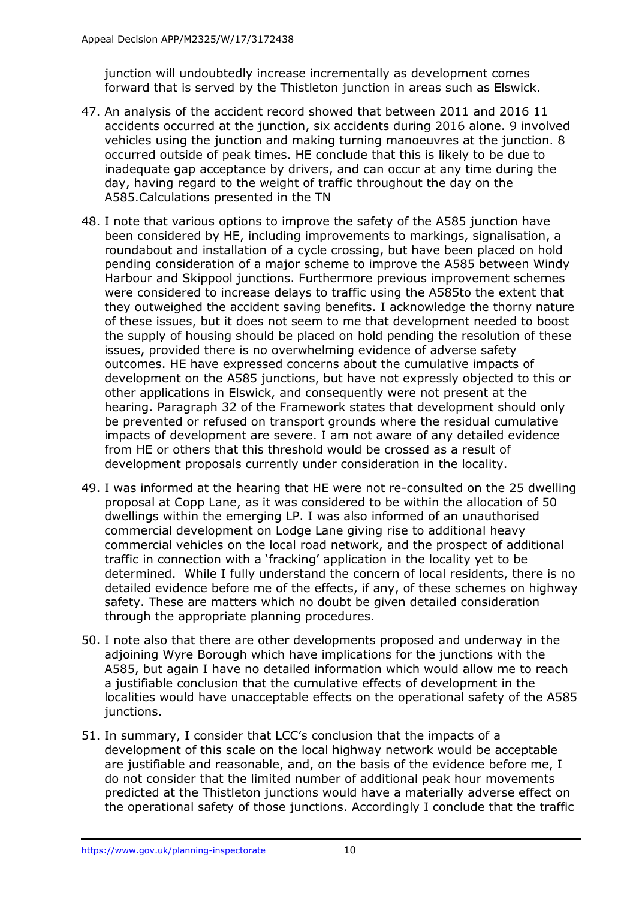junction will undoubtedly increase incrementally as development comes forward that is served by the Thistleton junction in areas such as Elswick.

- 47. An analysis of the accident record showed that between 2011 and 2016 11 accidents occurred at the junction, six accidents during 2016 alone. 9 involved vehicles using the junction and making turning manoeuvres at the junction. 8 occurred outside of peak times. HE conclude that this is likely to be due to inadequate gap acceptance by drivers, and can occur at any time during the day, having regard to the weight of traffic throughout the day on the A585.Calculations presented in the TN
- 48. I note that various options to improve the safety of the A585 junction have been considered by HE, including improvements to markings, signalisation, a roundabout and installation of a cycle crossing, but have been placed on hold pending consideration of a major scheme to improve the A585 between Windy Harbour and Skippool junctions. Furthermore previous improvement schemes were considered to increase delays to traffic using the A585to the extent that they outweighed the accident saving benefits. I acknowledge the thorny nature of these issues, but it does not seem to me that development needed to boost the supply of housing should be placed on hold pending the resolution of these issues, provided there is no overwhelming evidence of adverse safety outcomes. HE have expressed concerns about the cumulative impacts of development on the A585 junctions, but have not expressly objected to this or other applications in Elswick, and consequently were not present at the hearing. Paragraph 32 of the Framework states that development should only be prevented or refused on transport grounds where the residual cumulative impacts of development are severe. I am not aware of any detailed evidence from HE or others that this threshold would be crossed as a result of development proposals currently under consideration in the locality.
- 49. I was informed at the hearing that HE were not re-consulted on the 25 dwelling proposal at Copp Lane, as it was considered to be within the allocation of 50 dwellings within the emerging LP. I was also informed of an unauthorised commercial development on Lodge Lane giving rise to additional heavy commercial vehicles on the local road network, and the prospect of additional traffic in connection with a 'fracking' application in the locality yet to be determined. While I fully understand the concern of local residents, there is no detailed evidence before me of the effects, if any, of these schemes on highway safety. These are matters which no doubt be given detailed consideration through the appropriate planning procedures.
- 50. I note also that there are other developments proposed and underway in the adjoining Wyre Borough which have implications for the junctions with the A585, but again I have no detailed information which would allow me to reach a justifiable conclusion that the cumulative effects of development in the localities would have unacceptable effects on the operational safety of the A585 junctions.
- 51. In summary, I consider that LCC's conclusion that the impacts of a development of this scale on the local highway network would be acceptable are justifiable and reasonable, and, on the basis of the evidence before me, I do not consider that the limited number of additional peak hour movements predicted at the Thistleton junctions would have a materially adverse effect on the operational safety of those junctions. Accordingly I conclude that the traffic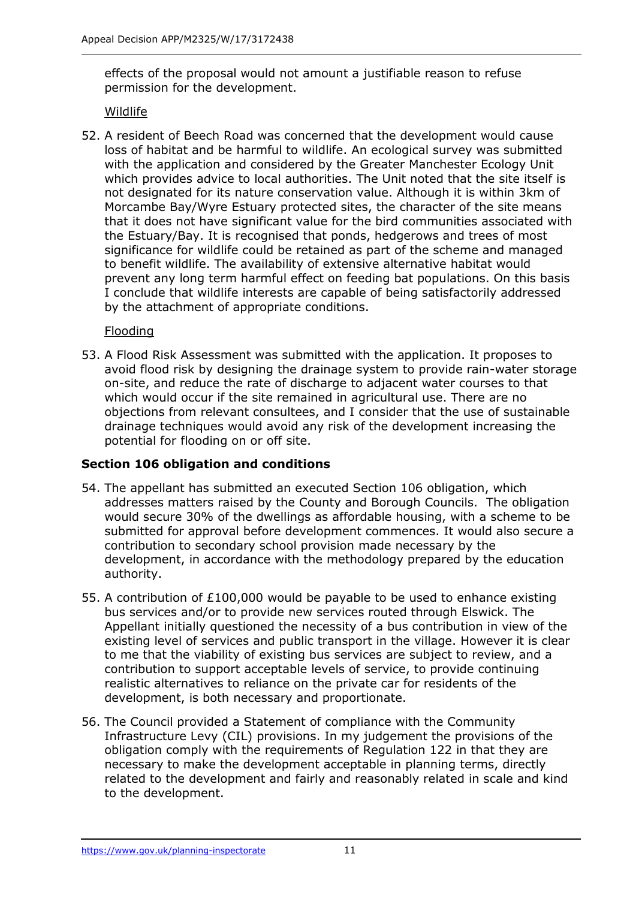effects of the proposal would not amount a justifiable reason to refuse permission for the development.

## Wildlife

52. A resident of Beech Road was concerned that the development would cause loss of habitat and be harmful to wildlife. An ecological survey was submitted with the application and considered by the Greater Manchester Ecology Unit which provides advice to local authorities. The Unit noted that the site itself is not designated for its nature conservation value. Although it is within 3km of Morcambe Bay/Wyre Estuary protected sites, the character of the site means that it does not have significant value for the bird communities associated with the Estuary/Bay. It is recognised that ponds, hedgerows and trees of most significance for wildlife could be retained as part of the scheme and managed to benefit wildlife. The availability of extensive alternative habitat would prevent any long term harmful effect on feeding bat populations. On this basis I conclude that wildlife interests are capable of being satisfactorily addressed by the attachment of appropriate conditions.

## Flooding

53. A Flood Risk Assessment was submitted with the application. It proposes to avoid flood risk by designing the drainage system to provide rain-water storage on-site, and reduce the rate of discharge to adjacent water courses to that which would occur if the site remained in agricultural use. There are no objections from relevant consultees, and I consider that the use of sustainable drainage techniques would avoid any risk of the development increasing the potential for flooding on or off site.

## **Section 106 obligation and conditions**

- 54. The appellant has submitted an executed Section 106 obligation, which addresses matters raised by the County and Borough Councils. The obligation would secure 30% of the dwellings as affordable housing, with a scheme to be submitted for approval before development commences. It would also secure a contribution to secondary school provision made necessary by the development, in accordance with the methodology prepared by the education authority.
- 55. A contribution of £100,000 would be payable to be used to enhance existing bus services and/or to provide new services routed through Elswick. The Appellant initially questioned the necessity of a bus contribution in view of the existing level of services and public transport in the village. However it is clear to me that the viability of existing bus services are subject to review, and a contribution to support acceptable levels of service, to provide continuing realistic alternatives to reliance on the private car for residents of the development, is both necessary and proportionate.
- 56. The Council provided a Statement of compliance with the Community Infrastructure Levy (CIL) provisions. In my judgement the provisions of the obligation comply with the requirements of Regulation 122 in that they are necessary to make the development acceptable in planning terms, directly related to the development and fairly and reasonably related in scale and kind to the development.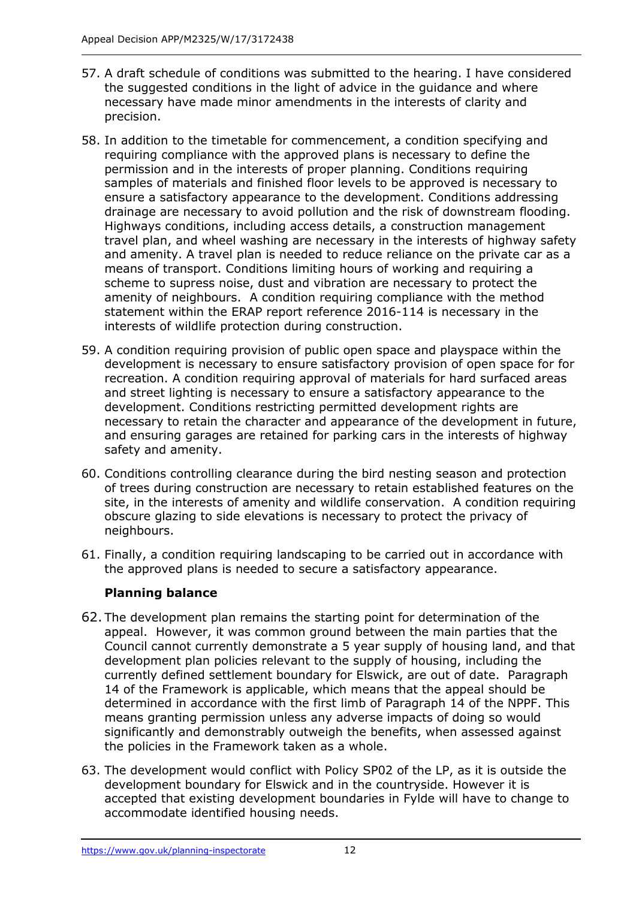- 57. A draft schedule of conditions was submitted to the hearing. I have considered the suggested conditions in the light of advice in the guidance and where necessary have made minor amendments in the interests of clarity and precision.
- 58. In addition to the timetable for commencement, a condition specifying and requiring compliance with the approved plans is necessary to define the permission and in the interests of proper planning. Conditions requiring samples of materials and finished floor levels to be approved is necessary to ensure a satisfactory appearance to the development. Conditions addressing drainage are necessary to avoid pollution and the risk of downstream flooding. Highways conditions, including access details, a construction management travel plan, and wheel washing are necessary in the interests of highway safety and amenity. A travel plan is needed to reduce reliance on the private car as a means of transport. Conditions limiting hours of working and requiring a scheme to supress noise, dust and vibration are necessary to protect the amenity of neighbours. A condition requiring compliance with the method statement within the ERAP report reference 2016-114 is necessary in the interests of wildlife protection during construction.
- 59. A condition requiring provision of public open space and playspace within the development is necessary to ensure satisfactory provision of open space for for recreation. A condition requiring approval of materials for hard surfaced areas and street lighting is necessary to ensure a satisfactory appearance to the development. Conditions restricting permitted development rights are necessary to retain the character and appearance of the development in future, and ensuring garages are retained for parking cars in the interests of highway safety and amenity.
- 60. Conditions controlling clearance during the bird nesting season and protection of trees during construction are necessary to retain established features on the site, in the interests of amenity and wildlife conservation. A condition requiring obscure glazing to side elevations is necessary to protect the privacy of neighbours.
- 61. Finally, a condition requiring landscaping to be carried out in accordance with the approved plans is needed to secure a satisfactory appearance.

## **Planning balance**

- 62. The development plan remains the starting point for determination of the appeal. However, it was common ground between the main parties that the Council cannot currently demonstrate a 5 year supply of housing land, and that development plan policies relevant to the supply of housing, including the currently defined settlement boundary for Elswick, are out of date. Paragraph 14 of the Framework is applicable, which means that the appeal should be determined in accordance with the first limb of Paragraph 14 of the NPPF. This means granting permission unless any adverse impacts of doing so would significantly and demonstrably outweigh the benefits, when assessed against the policies in the Framework taken as a whole.
- 63. The development would conflict with Policy SP02 of the LP, as it is outside the development boundary for Elswick and in the countryside. However it is accepted that existing development boundaries in Fylde will have to change to accommodate identified housing needs.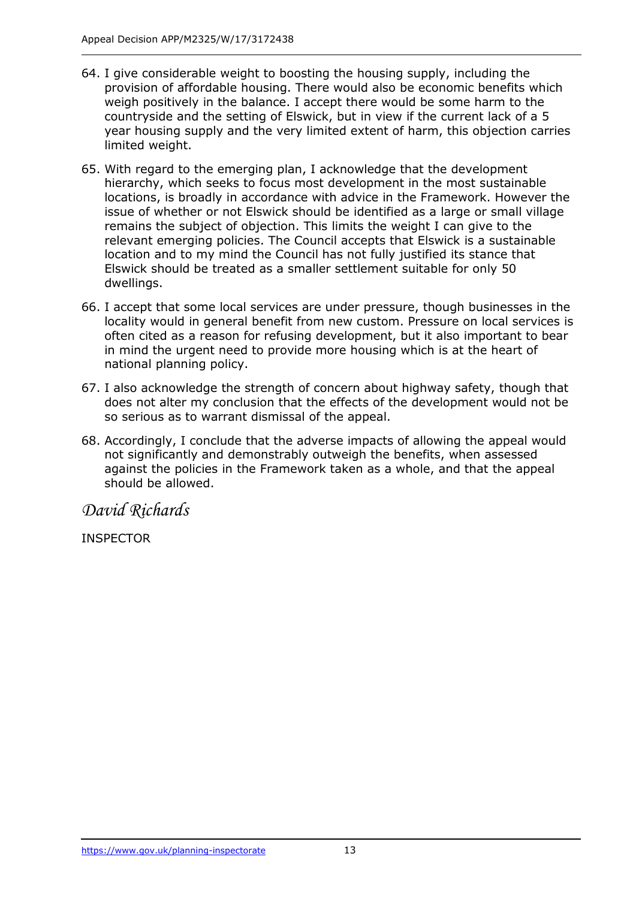- 64. I give considerable weight to boosting the housing supply, including the provision of affordable housing. There would also be economic benefits which weigh positively in the balance. I accept there would be some harm to the countryside and the setting of Elswick, but in view if the current lack of a 5 year housing supply and the very limited extent of harm, this objection carries limited weight.
- 65. With regard to the emerging plan, I acknowledge that the development hierarchy, which seeks to focus most development in the most sustainable locations, is broadly in accordance with advice in the Framework. However the issue of whether or not Elswick should be identified as a large or small village remains the subject of objection. This limits the weight I can give to the relevant emerging policies. The Council accepts that Elswick is a sustainable location and to my mind the Council has not fully justified its stance that Elswick should be treated as a smaller settlement suitable for only 50 dwellings.
- 66. I accept that some local services are under pressure, though businesses in the locality would in general benefit from new custom. Pressure on local services is often cited as a reason for refusing development, but it also important to bear in mind the urgent need to provide more housing which is at the heart of national planning policy.
- 67. I also acknowledge the strength of concern about highway safety, though that does not alter my conclusion that the effects of the development would not be so serious as to warrant dismissal of the appeal.
- 68. Accordingly, I conclude that the adverse impacts of allowing the appeal would not significantly and demonstrably outweigh the benefits, when assessed against the policies in the Framework taken as a whole, and that the appeal should be allowed.

*David Richards*

INSPECTOR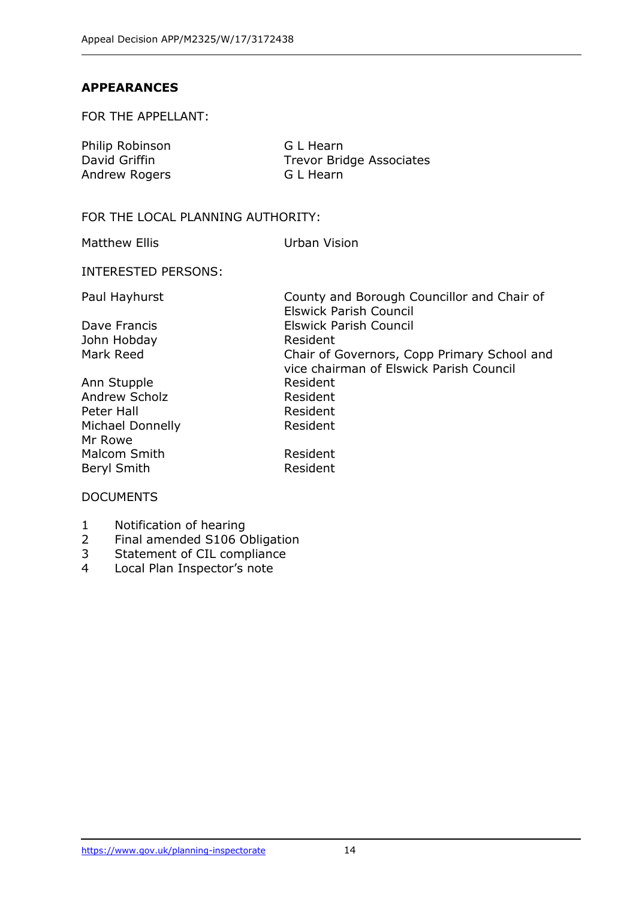#### **APPEARANCES**

FOR THE APPELLANT:

| Philip Robinson | G L Hearn                       |
|-----------------|---------------------------------|
| David Griffin   | <b>Trevor Bridge Associates</b> |
| Andrew Rogers   | G L Hearn                       |

#### FOR THE LOCAL PLANNING AUTHORITY:

Matthew Ellis Urban Vision

INTERESTED PERSONS:

John Hobday **Resident** 

Ann Stupple **Resident** Andrew Scholz **Resident** Peter Hall **Resident** Michael Donnelly **Resident** Mr Rowe Malcom Smith Resident Beryl Smith **Resident** 

Paul Hayhurst **County and Borough Councillor and Chair of** Elswick Parish Council Dave Francis **Elswick Parish Council** Mark Reed **Chair of Governors, Copp Primary School and** vice chairman of Elswick Parish Council

#### DOCUMENTS

- 1 Notification of hearing
- 2 Final amended S106 Obligation
- 3 Statement of CIL compliance<br>4 Local Plan Inspector's note
- Local Plan Inspector's note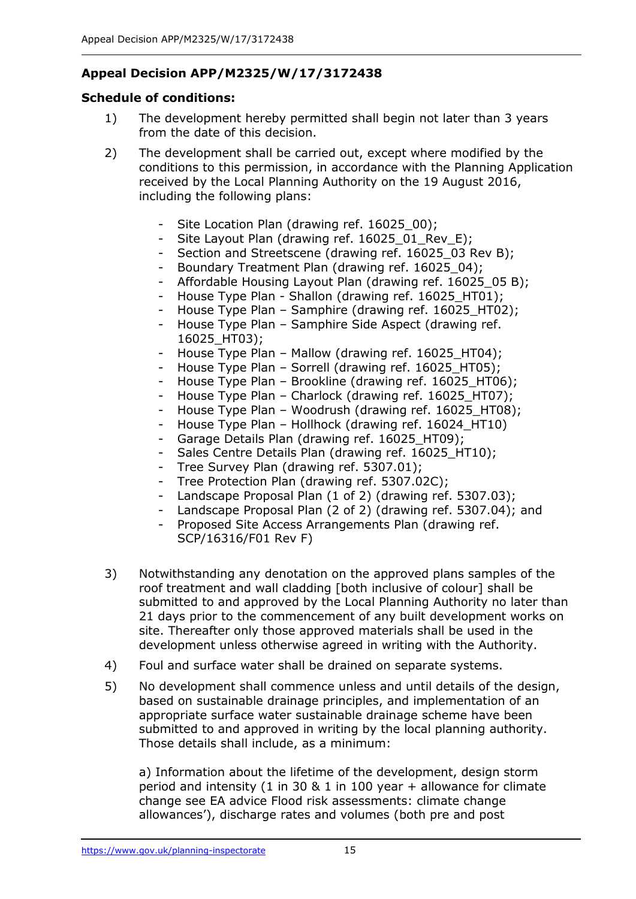# **Appeal Decision APP/M2325/W/17/3172438**

## **Schedule of conditions:**

- 1) The development hereby permitted shall begin not later than 3 years from the date of this decision.
- 2) The development shall be carried out, except where modified by the conditions to this permission, in accordance with the Planning Application received by the Local Planning Authority on the 19 August 2016, including the following plans:
	- Site Location Plan (drawing ref. 16025\_00);
	- Site Layout Plan (drawing ref. 16025\_01\_Rev\_E);
	- Section and Streetscene (drawing ref. 16025 03 Rev B);
	- Boundary Treatment Plan (drawing ref. 16025 04);
	- Affordable Housing Layout Plan (drawing ref. 16025 05 B);
	- House Type Plan Shallon (drawing ref. 16025 HT01);
	- House Type Plan Samphire (drawing ref. 16025\_HT02);
	- House Type Plan Samphire Side Aspect (drawing ref. 16025\_HT03);
	- House Type Plan Mallow (drawing ref. 16025 HT04);
	- House Type Plan Sorrell (drawing ref. 16025\_HT05);
	- House Type Plan Brookline (drawing ref. 16025 HT06);
	- House Type Plan Charlock (drawing ref. 16025\_HT07);
	- House Type Plan Woodrush (drawing ref. 16025 HT08);
	- House Type Plan Hollhock (drawing ref. 16024 HT10)
	- Garage Details Plan (drawing ref. 16025 HT09);
	- Sales Centre Details Plan (drawing ref. 16025 HT10);
	- Tree Survey Plan (drawing ref. 5307.01);
	- Tree Protection Plan (drawing ref. 5307.02C);
	- Landscape Proposal Plan (1 of 2) (drawing ref. 5307.03);
	- Landscape Proposal Plan (2 of 2) (drawing ref. 5307.04); and
	- Proposed Site Access Arrangements Plan (drawing ref. SCP/16316/F01 Rev F)
- 3) Notwithstanding any denotation on the approved plans samples of the roof treatment and wall cladding [both inclusive of colour] shall be submitted to and approved by the Local Planning Authority no later than 21 days prior to the commencement of any built development works on site. Thereafter only those approved materials shall be used in the development unless otherwise agreed in writing with the Authority.
- 4) Foul and surface water shall be drained on separate systems.
- 5) No development shall commence unless and until details of the design, based on sustainable drainage principles, and implementation of an appropriate surface water sustainable drainage scheme have been submitted to and approved in writing by the local planning authority. Those details shall include, as a minimum:

a) Information about the lifetime of the development, design storm period and intensity (1 in 30 & 1 in 100 year + allowance for climate change see EA advice Flood risk assessments: climate change allowances'), discharge rates and volumes (both pre and post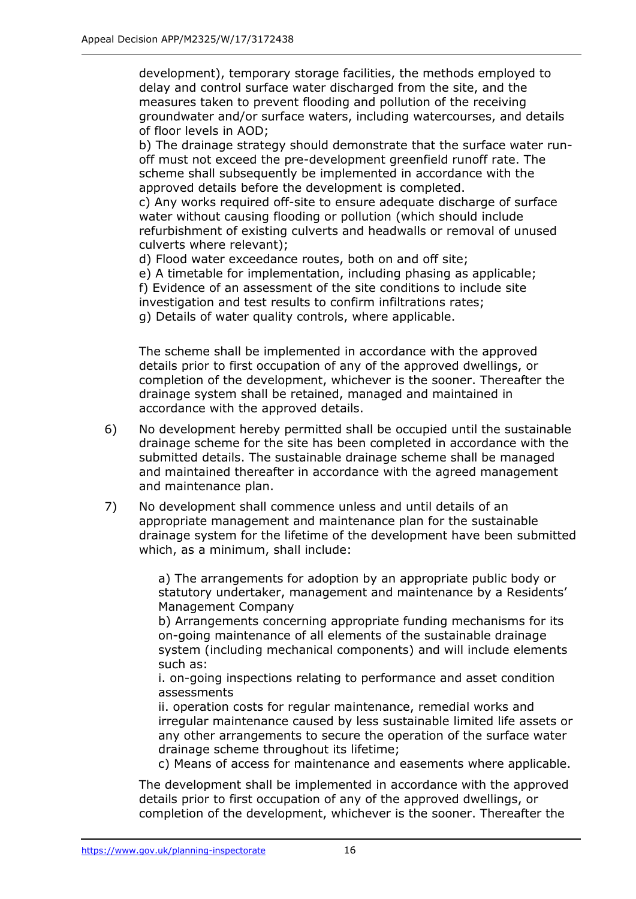development), temporary storage facilities, the methods employed to delay and control surface water discharged from the site, and the measures taken to prevent flooding and pollution of the receiving groundwater and/or surface waters, including watercourses, and details of floor levels in AOD;

b) The drainage strategy should demonstrate that the surface water runoff must not exceed the pre-development greenfield runoff rate. The scheme shall subsequently be implemented in accordance with the approved details before the development is completed.

c) Any works required off-site to ensure adequate discharge of surface water without causing flooding or pollution (which should include refurbishment of existing culverts and headwalls or removal of unused culverts where relevant);

d) Flood water exceedance routes, both on and off site;

e) A timetable for implementation, including phasing as applicable;

f) Evidence of an assessment of the site conditions to include site

investigation and test results to confirm infiltrations rates;

g) Details of water quality controls, where applicable.

The scheme shall be implemented in accordance with the approved details prior to first occupation of any of the approved dwellings, or completion of the development, whichever is the sooner. Thereafter the drainage system shall be retained, managed and maintained in accordance with the approved details.

- 6) No development hereby permitted shall be occupied until the sustainable drainage scheme for the site has been completed in accordance with the submitted details. The sustainable drainage scheme shall be managed and maintained thereafter in accordance with the agreed management and maintenance plan.
- 7) No development shall commence unless and until details of an appropriate management and maintenance plan for the sustainable drainage system for the lifetime of the development have been submitted which, as a minimum, shall include:

a) The arrangements for adoption by an appropriate public body or statutory undertaker, management and maintenance by a Residents' Management Company

b) Arrangements concerning appropriate funding mechanisms for its on-going maintenance of all elements of the sustainable drainage system (including mechanical components) and will include elements such as:

i. on-going inspections relating to performance and asset condition assessments

ii. operation costs for regular maintenance, remedial works and irregular maintenance caused by less sustainable limited life assets or any other arrangements to secure the operation of the surface water drainage scheme throughout its lifetime;

c) Means of access for maintenance and easements where applicable.

The development shall be implemented in accordance with the approved details prior to first occupation of any of the approved dwellings, or completion of the development, whichever is the sooner. Thereafter the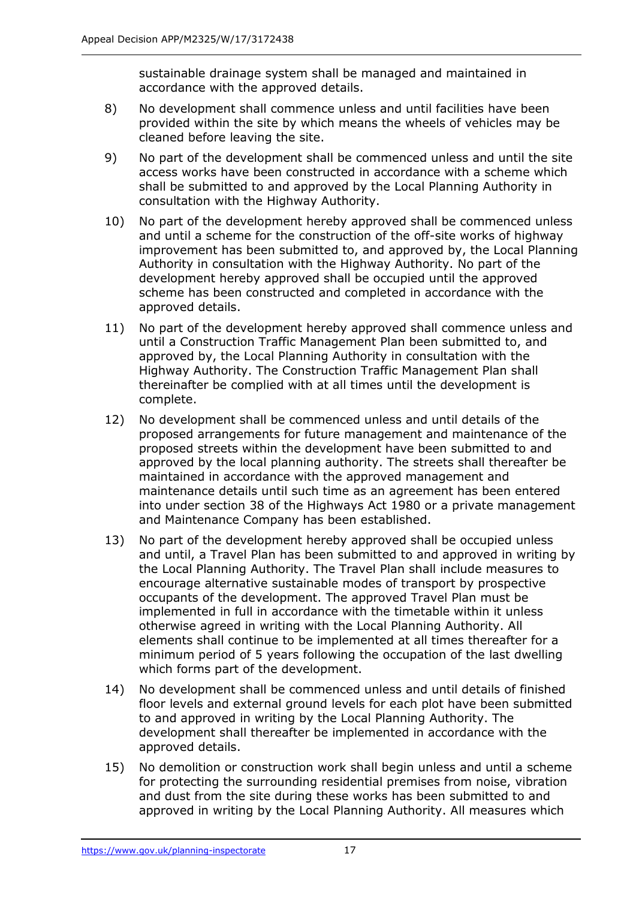sustainable drainage system shall be managed and maintained in accordance with the approved details.

- 8) No development shall commence unless and until facilities have been provided within the site by which means the wheels of vehicles may be cleaned before leaving the site.
- 9) No part of the development shall be commenced unless and until the site access works have been constructed in accordance with a scheme which shall be submitted to and approved by the Local Planning Authority in consultation with the Highway Authority.
- 10) No part of the development hereby approved shall be commenced unless and until a scheme for the construction of the off-site works of highway improvement has been submitted to, and approved by, the Local Planning Authority in consultation with the Highway Authority. No part of the development hereby approved shall be occupied until the approved scheme has been constructed and completed in accordance with the approved details.
- 11) No part of the development hereby approved shall commence unless and until a Construction Traffic Management Plan been submitted to, and approved by, the Local Planning Authority in consultation with the Highway Authority. The Construction Traffic Management Plan shall thereinafter be complied with at all times until the development is complete.
- 12) No development shall be commenced unless and until details of the proposed arrangements for future management and maintenance of the proposed streets within the development have been submitted to and approved by the local planning authority. The streets shall thereafter be maintained in accordance with the approved management and maintenance details until such time as an agreement has been entered into under section 38 of the Highways Act 1980 or a private management and Maintenance Company has been established.
- 13) No part of the development hereby approved shall be occupied unless and until, a Travel Plan has been submitted to and approved in writing by the Local Planning Authority. The Travel Plan shall include measures to encourage alternative sustainable modes of transport by prospective occupants of the development. The approved Travel Plan must be implemented in full in accordance with the timetable within it unless otherwise agreed in writing with the Local Planning Authority. All elements shall continue to be implemented at all times thereafter for a minimum period of 5 years following the occupation of the last dwelling which forms part of the development.
- 14) No development shall be commenced unless and until details of finished floor levels and external ground levels for each plot have been submitted to and approved in writing by the Local Planning Authority. The development shall thereafter be implemented in accordance with the approved details.
- 15) No demolition or construction work shall begin unless and until a scheme for protecting the surrounding residential premises from noise, vibration and dust from the site during these works has been submitted to and approved in writing by the Local Planning Authority. All measures which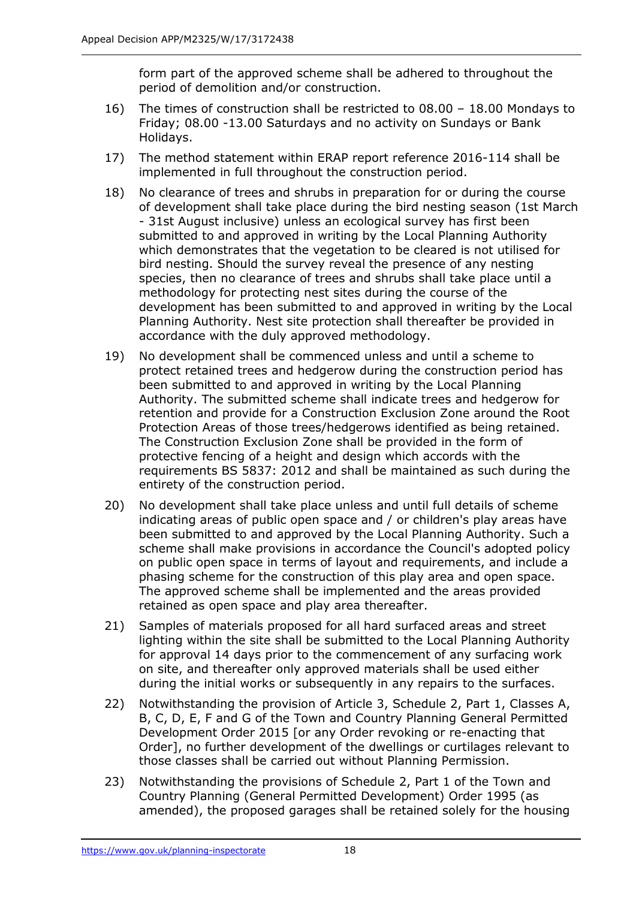form part of the approved scheme shall be adhered to throughout the period of demolition and/or construction.

- 16) The times of construction shall be restricted to 08.00 18.00 Mondays to Friday; 08.00 -13.00 Saturdays and no activity on Sundays or Bank Holidays.
- 17) The method statement within ERAP report reference 2016-114 shall be implemented in full throughout the construction period.
- 18) No clearance of trees and shrubs in preparation for or during the course of development shall take place during the bird nesting season (1st March - 31st August inclusive) unless an ecological survey has first been submitted to and approved in writing by the Local Planning Authority which demonstrates that the vegetation to be cleared is not utilised for bird nesting. Should the survey reveal the presence of any nesting species, then no clearance of trees and shrubs shall take place until a methodology for protecting nest sites during the course of the development has been submitted to and approved in writing by the Local Planning Authority. Nest site protection shall thereafter be provided in accordance with the duly approved methodology.
- 19) No development shall be commenced unless and until a scheme to protect retained trees and hedgerow during the construction period has been submitted to and approved in writing by the Local Planning Authority. The submitted scheme shall indicate trees and hedgerow for retention and provide for a Construction Exclusion Zone around the Root Protection Areas of those trees/hedgerows identified as being retained. The Construction Exclusion Zone shall be provided in the form of protective fencing of a height and design which accords with the requirements BS 5837: 2012 and shall be maintained as such during the entirety of the construction period.
- 20) No development shall take place unless and until full details of scheme indicating areas of public open space and / or children's play areas have been submitted to and approved by the Local Planning Authority. Such a scheme shall make provisions in accordance the Council's adopted policy on public open space in terms of layout and requirements, and include a phasing scheme for the construction of this play area and open space. The approved scheme shall be implemented and the areas provided retained as open space and play area thereafter.
- 21) Samples of materials proposed for all hard surfaced areas and street lighting within the site shall be submitted to the Local Planning Authority for approval 14 days prior to the commencement of any surfacing work on site, and thereafter only approved materials shall be used either during the initial works or subsequently in any repairs to the surfaces.
- 22) Notwithstanding the provision of Article 3, Schedule 2, Part 1, Classes A, B, C, D, E, F and G of the Town and Country Planning General Permitted Development Order 2015 [or any Order revoking or re-enacting that Order], no further development of the dwellings or curtilages relevant to those classes shall be carried out without Planning Permission.
- 23) Notwithstanding the provisions of Schedule 2, Part 1 of the Town and Country Planning (General Permitted Development) Order 1995 (as amended), the proposed garages shall be retained solely for the housing